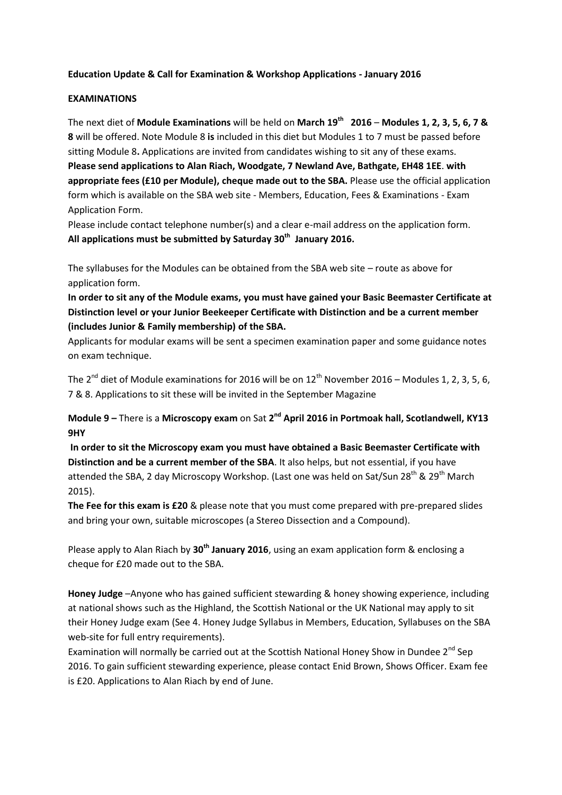### **Education Update & Call for Examination & Workshop Applications - January 2016**

### **EXAMINATIONS**

The next diet of **Module Examinations** will be held on **March 19th 2016** – **Modules 1, 2, 3, 5, 6, 7 & 8** will be offered. Note Module 8 **is** included in this diet but Modules 1 to 7 must be passed before sitting Module 8**.** Applications are invited from candidates wishing to sit any of these exams. **Please send applications to Alan Riach, Woodgate, 7 Newland Ave, Bathgate, EH48 1EE**. **with appropriate fees (£10 per Module), cheque made out to the SBA.** Please use the official application form which is available on the SBA web site - Members, Education, Fees & Examinations - Exam Application Form.

Please include contact telephone number(s) and a clear e-mail address on the application form. **All applications must be submitted by Saturday 30th January 2016.** 

The syllabuses for the Modules can be obtained from the SBA web site – route as above for application form.

**In order to sit any of the Module exams, you must have gained your Basic Beemaster Certificate at Distinction level or your Junior Beekeeper Certificate with Distinction and be a current member (includes Junior & Family membership) of the SBA.**

Applicants for modular exams will be sent a specimen examination paper and some guidance notes on exam technique.

The 2<sup>nd</sup> diet of Module examinations for 2016 will be on 12<sup>th</sup> November 2016 – Modules 1, 2, 3, 5, 6, 7 & 8. Applications to sit these will be invited in the September Magazine

**Module 9** – There is a Microscopy exam on Sat 2<sup>nd</sup> April 2016 in Portmoak hall, Scotlandwell, KY13 **9HY**

**In order to sit the Microscopy exam you must have obtained a Basic Beemaster Certificate with Distinction and be a current member of the SBA**. It also helps, but not essential, if you have attended the SBA, 2 day Microscopy Workshop. (Last one was held on Sat/Sun 28<sup>th</sup> & 29<sup>th</sup> March 2015).

**The Fee for this exam is £20** & please note that you must come prepared with pre-prepared slides and bring your own, suitable microscopes (a Stereo Dissection and a Compound).

Please apply to Alan Riach by **30th January 2016**, using an exam application form & enclosing a cheque for £20 made out to the SBA.

**Honey Judge** –Anyone who has gained sufficient stewarding & honey showing experience, including at national shows such as the Highland, the Scottish National or the UK National may apply to sit their Honey Judge exam (See 4. Honey Judge Syllabus in Members, Education, Syllabuses on the SBA web-site for full entry requirements).

Examination will normally be carried out at the Scottish National Honey Show in Dundee  $2^{nd}$  Sep 2016. To gain sufficient stewarding experience, please contact Enid Brown, Shows Officer. Exam fee is £20. Applications to Alan Riach by end of June.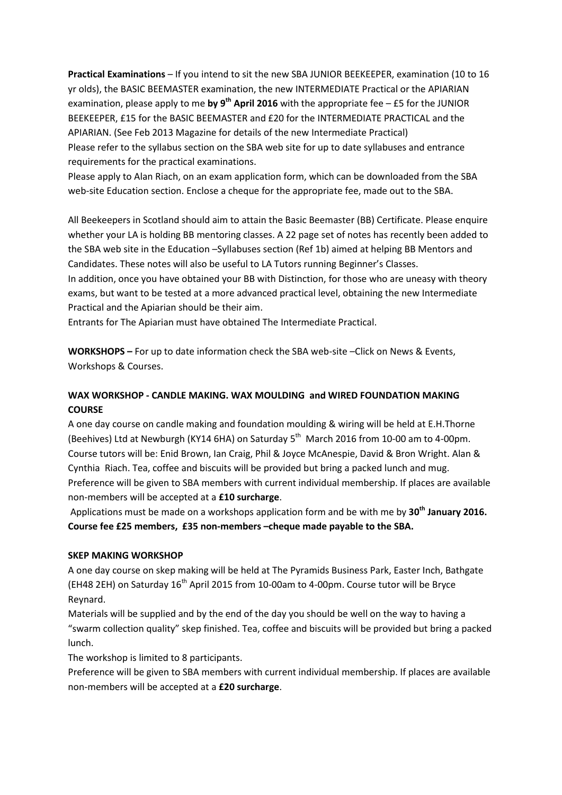**Practical Examinations** – If you intend to sit the new SBA JUNIOR BEEKEEPER, examination (10 to 16 yr olds), the BASIC BEEMASTER examination, the new INTERMEDIATE Practical or the APIARIAN examination, please apply to me **by 9th April 2016** with the appropriate fee – £5 for the JUNIOR BEEKEEPER, £15 for the BASIC BEEMASTER and £20 for the INTERMEDIATE PRACTICAL and the APIARIAN. (See Feb 2013 Magazine for details of the new Intermediate Practical) Please refer to the syllabus section on the SBA web site for up to date syllabuses and entrance requirements for the practical examinations.

Please apply to Alan Riach, on an exam application form, which can be downloaded from the SBA web-site Education section. Enclose a cheque for the appropriate fee, made out to the SBA.

All Beekeepers in Scotland should aim to attain the Basic Beemaster (BB) Certificate. Please enquire whether your LA is holding BB mentoring classes. A 22 page set of notes has recently been added to the SBA web site in the Education –Syllabuses section (Ref 1b) aimed at helping BB Mentors and Candidates. These notes will also be useful to LA Tutors running Beginner's Classes.

In addition, once you have obtained your BB with Distinction, for those who are uneasy with theory exams, but want to be tested at a more advanced practical level, obtaining the new Intermediate Practical and the Apiarian should be their aim.

Entrants for The Apiarian must have obtained The Intermediate Practical.

**WORKSHOPS –** For up to date information check the SBA web-site –Click on News & Events, Workshops & Courses.

## **WAX WORKSHOP - CANDLE MAKING. WAX MOULDING and WIRED FOUNDATION MAKING COURSE**

A one day course on candle making and foundation moulding & wiring will be held at E.H.Thorne (Beehives) Ltd at Newburgh (KY14 6HA) on Saturday 5<sup>th</sup> March 2016 from 10-00 am to 4-00pm. Course tutors will be: Enid Brown, Ian Craig, Phil & Joyce McAnespie, David & Bron Wright. Alan & Cynthia Riach. Tea, coffee and biscuits will be provided but bring a packed lunch and mug. Preference will be given to SBA members with current individual membership. If places are available non-members will be accepted at a **£10 surcharge**.

Applications must be made on a workshops application form and be with me by **30th January 2016. Course fee £25 members, £35 non-members –cheque made payable to the SBA.**

#### **SKEP MAKING WORKSHOP**

A one day course on skep making will be held at The Pyramids Business Park, Easter Inch, Bathgate (EH48 2EH) on Saturday  $16<sup>th</sup>$  April 2015 from 10-00am to 4-00pm. Course tutor will be Bryce Reynard.

Materials will be supplied and by the end of the day you should be well on the way to having a "swarm collection quality" skep finished. Tea, coffee and biscuits will be provided but bring a packed lunch.

The workshop is limited to 8 participants.

Preference will be given to SBA members with current individual membership. If places are available non-members will be accepted at a **£20 surcharge**.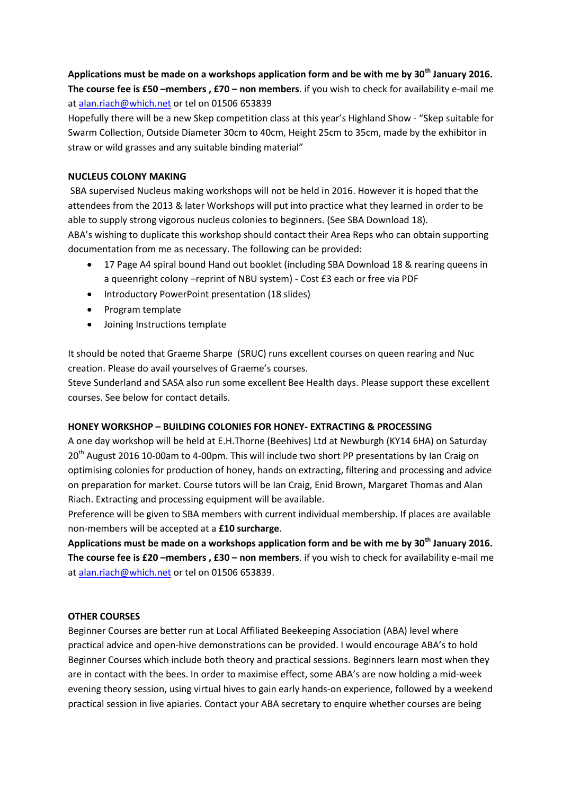# **Applications must be made on a workshops application form and be with me by 30th January 2016. The course fee is £50 –members , £70 – non members**. if you wish to check for availability e-mail me a[t alan.riach@which.net](mailto:alan.riach@which.net) or tel on 01506 653839

Hopefully there will be a new Skep competition class at this year's Highland Show - "Skep suitable for Swarm Collection, Outside Diameter 30cm to 40cm, Height 25cm to 35cm, made by the exhibitor in straw or wild grasses and any suitable binding material"

### **NUCLEUS COLONY MAKING**

SBA supervised Nucleus making workshops will not be held in 2016. However it is hoped that the attendees from the 2013 & later Workshops will put into practice what they learned in order to be able to supply strong vigorous nucleus colonies to beginners. (See SBA Download 18). ABA's wishing to duplicate this workshop should contact their Area Reps who can obtain supporting documentation from me as necessary. The following can be provided:

- 17 Page A4 spiral bound Hand out booklet (including SBA Download 18 & rearing queens in a queenright colony –reprint of NBU system) - Cost £3 each or free via PDF
- Introductory PowerPoint presentation (18 slides)
- Program template
- Joining Instructions template

It should be noted that Graeme Sharpe (SRUC) runs excellent courses on queen rearing and Nuc creation. Please do avail yourselves of Graeme's courses.

Steve Sunderland and SASA also run some excellent Bee Health days. Please support these excellent courses. See below for contact details.

### **HONEY WORKSHOP – BUILDING COLONIES FOR HONEY- EXTRACTING & PROCESSING**

A one day workshop will be held at E.H.Thorne (Beehives) Ltd at Newburgh (KY14 6HA) on Saturday 20<sup>th</sup> August 2016 10-00am to 4-00pm. This will include two short PP presentations by Ian Craig on optimising colonies for production of honey, hands on extracting, filtering and processing and advice on preparation for market. Course tutors will be Ian Craig, Enid Brown, Margaret Thomas and Alan Riach. Extracting and processing equipment will be available.

Preference will be given to SBA members with current individual membership. If places are available non-members will be accepted at a **£10 surcharge**.

**Applications must be made on a workshops application form and be with me by 30th January 2016. The course fee is £20 –members , £30 – non members**. if you wish to check for availability e-mail me a[t alan.riach@which.net](mailto:alan.riach@which.net) or tel on 01506 653839.

### **OTHER COURSES**

Beginner Courses are better run at Local Affiliated Beekeeping Association (ABA) level where practical advice and open-hive demonstrations can be provided. I would encourage ABA's to hold Beginner Courses which include both theory and practical sessions. Beginners learn most when they are in contact with the bees. In order to maximise effect, some ABA's are now holding a mid-week evening theory session, using virtual hives to gain early hands-on experience, followed by a weekend practical session in live apiaries. Contact your ABA secretary to enquire whether courses are being